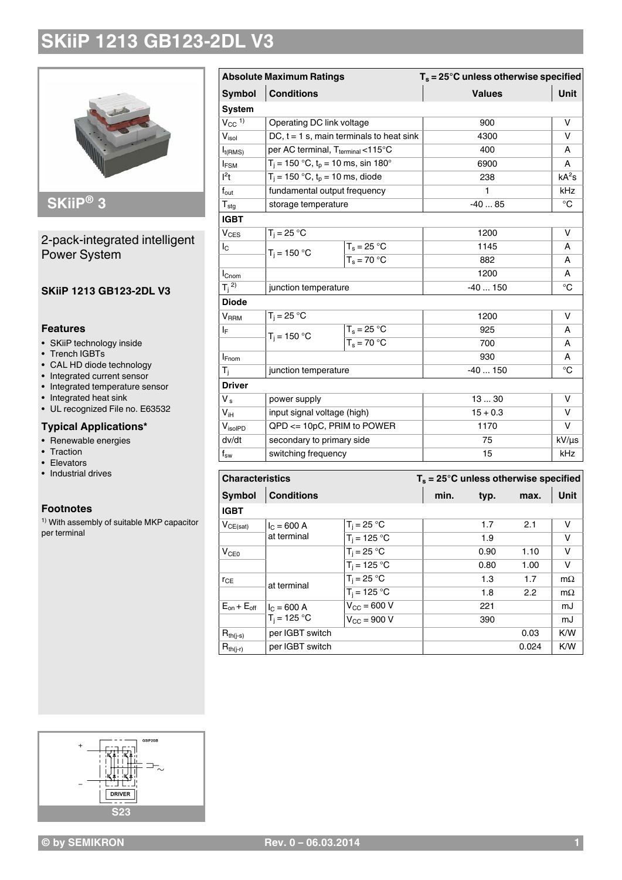

### 2-pack-integrated intelligent Power System

#### **SKiiP 1213 GB123-2DL V3**

#### **Features**

- SKiiP technology inside
- Trench IGBTs
- CAL HD diode technology
- Integrated current sensor
- Integrated temperature sensor
- Integrated heat sink
- UL recognized File no. E63532

#### **Typical Applications\***

- Renewable energies
- Traction
- Elevators
- Industrial drives

#### **Footnotes**

1) With assembly of suitable MKP capacitor per terminal

| <b>Absolute Maximum Ratings</b> |                                               |                                            | $T_s = 25^\circ C$ unless otherwise specified |             |  |  |
|---------------------------------|-----------------------------------------------|--------------------------------------------|-----------------------------------------------|-------------|--|--|
| <b>Symbol</b>                   | <b>Conditions</b>                             |                                            | <b>Values</b>                                 | <b>Unit</b> |  |  |
| <b>System</b>                   |                                               |                                            |                                               |             |  |  |
| $V_{CC}$ <sup>1)</sup>          | Operating DC link voltage                     |                                            | 900                                           | $\vee$      |  |  |
| V <sub>isol</sub>               |                                               | DC, $t = 1$ s, main terminals to heat sink | 4300                                          | v           |  |  |
| $I_{t(RMS)}$                    | per AC terminal, T <sub>terminal</sub> <115°C |                                            | 400                                           | A           |  |  |
| <b>IFSM</b>                     | $T_i = 150 °C$ , $t_p = 10$ ms, sin 180°      |                                            | 6900                                          | A           |  |  |
| $l^2t$                          | $T_i = 150 °C$ , $t_p = 10$ ms, diode         |                                            | 238                                           | $kA^2s$     |  |  |
| $\mathsf{f}_{\mathsf{out}}$     | fundamental output frequency                  |                                            | 1                                             | kHz         |  |  |
| ${\sf T}_{\sf stg}$             | storage temperature                           |                                            | $-4085$                                       | $^{\circ}C$ |  |  |
| <b>IGBT</b>                     |                                               |                                            |                                               |             |  |  |
| <b>V<sub>CES</sub></b>          | $T_i = 25 °C$                                 |                                            | 1200                                          | V           |  |  |
| $I_{\rm C}$                     |                                               | $T_s = 25 °C$                              | 1145                                          | Α           |  |  |
|                                 | $T_i = 150 °C$                                | $\overline{T_s} = 70 °C$                   | 882                                           | A           |  |  |
| I <sub>Cnom</sub>               |                                               |                                            | 1200                                          | A           |  |  |
| $T_j^{(2)}$                     | junction temperature                          |                                            | $-40150$                                      | $^{\circ}C$ |  |  |
| <b>Diode</b>                    |                                               |                                            |                                               |             |  |  |
| <b>V</b> RRM                    | $T_j = 25 °C$                                 |                                            | 1200                                          | V           |  |  |
| ΙF                              |                                               | $T_s = 25 °C$                              | 925                                           | А           |  |  |
|                                 | $T_i = 150 °C$                                | $\overline{T_s}$ = 70 °C                   | 700                                           | А           |  |  |
| $I_{Fnom}$                      |                                               |                                            | 930                                           | A           |  |  |
| T <sub>j</sub>                  | junction temperature                          |                                            | $-40150$                                      | $^{\circ}C$ |  |  |
| <b>Driver</b>                   |                                               |                                            |                                               |             |  |  |
| V <sub>s</sub>                  | power supply                                  |                                            | 1330                                          | $\vee$      |  |  |
| $V_{iH}$                        | input signal voltage (high)                   |                                            | $15 + 0.3$                                    | V           |  |  |
| $V_{\text{isoIPD}}$             | QPD <= 10pC, PRIM to POWER                    |                                            | 1170                                          | $\vee$      |  |  |
| dv/dt                           | secondary to primary side                     |                                            | 75                                            | kV/µs       |  |  |
| $f_{sw}$                        | switching frequency                           |                                            | 15                                            | kHz         |  |  |
|                                 |                                               |                                            |                                               |             |  |  |
| <b>Characteristics</b>          |                                               |                                            | $T_s = 25^\circ C$ unless otherwise specified |             |  |  |
|                                 | $Sumbol$ $Conditione$                         |                                            | min tun mov Illnit                            |             |  |  |

#### **Symbol Conditions min. typ. max. Unit IGBT**  $V_{CE(sat)}$   $I_C = 600 \text{ A}$ at terminal  $T_i = 25 \, ^\circ \text{C}$  1.7 2.1 V  $T_i = 125 \degree C$  1.9 V  $V_{CE0}$   $T_i = 25 °C$  0.90 1.10 V  $T_i = 125 \, ^\circ \text{C}$  0.80 1.00 V  $r_{CE}$  at terminal  $T_i = 25 \degree C$  1.3 1.7 m $\Omega$  $T_i = 125 \, ^\circ \text{C}$  1.8 2.2 m $\Omega$  $E_{on} + E_{off}$  |  $I_{C} = 600 A$  $T_i = 125 °C$  $V_{\text{CC}} = 600 \text{ V}$  221 mJ  $V_{\text{CC}} = 900 \text{ V}$  390 mJ  $R_{th(i-s)}$  per IGBT switch 0.03 K/W  $R_{th(i-r)}$  per IGBT switch 0.024 K/W

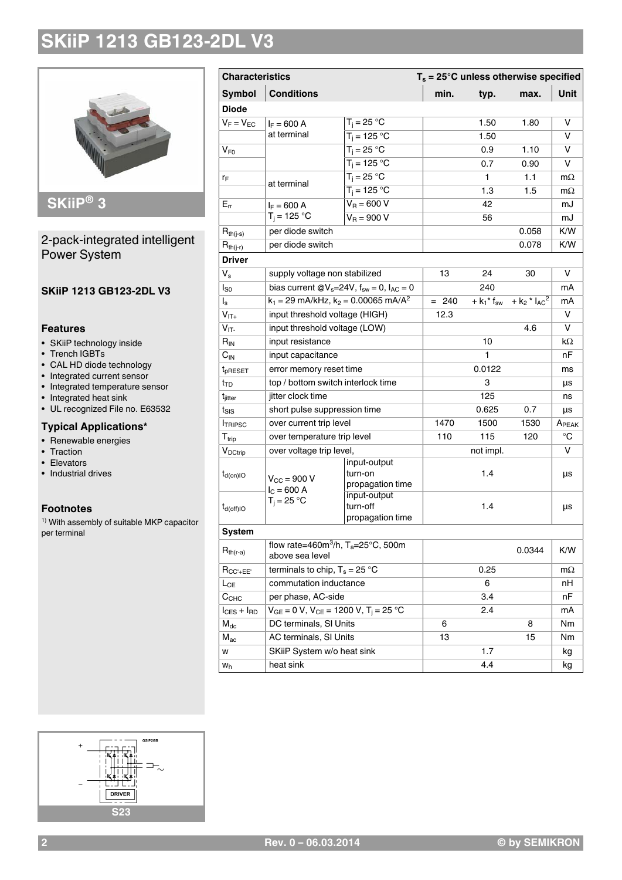

### 2-pack-integrated intelligent Power System

#### **SKiiP 1213 GB123-2DL V3**

#### **Features**

- SKiiP technology inside
- Trench IGBTs
- CAL HD diode technology
- Integrated current sensor
- Integrated temperature sensor
- Integrated heat sink
- UL recognized File no. E63532

#### **Typical Applications\***

- Renewable energies
- Traction
- Elevators
- Industrial drives

### **Footnotes**

1) With assembly of suitable MKP capacitor per terminal

| <b>Characteristics</b>  |                                                                               | $T_s = 25^\circ \text{C}$ unless otherwise specified |         |           |                                                                          |                   |
|-------------------------|-------------------------------------------------------------------------------|------------------------------------------------------|---------|-----------|--------------------------------------------------------------------------|-------------------|
| <b>Symbol</b>           | <b>Conditions</b>                                                             |                                                      |         | typ.      | max.                                                                     | Unit              |
| <b>Diode</b>            |                                                                               |                                                      |         |           |                                                                          |                   |
| $V_F = V_{EC}$          | $I_F = 600 A$                                                                 | $T_i = 25 °C$                                        |         | 1.50      | 1.80                                                                     | v                 |
|                         | at terminal                                                                   | $T_i = 125 °C$                                       |         | 1.50      |                                                                          | v                 |
| $V_{F0}$                |                                                                               | $T_i = 25 °C$                                        |         | 0.9       | 1.10                                                                     | v                 |
|                         |                                                                               | $T_i = 125 °C$                                       |         | 0.7       | 0.90                                                                     | v                 |
| ľF                      | at terminal                                                                   | $T_i = 25 °C$                                        |         | 1         | 1.1                                                                      | $m\Omega$         |
|                         |                                                                               | $\overline{T_i} = 125$ °C                            |         | 1.3       | 1.5                                                                      | $m\Omega$         |
| $E_{rr}$                | $I_F = 600 A$                                                                 | $V_R = 600 V$                                        |         | 42        |                                                                          | mJ                |
|                         | $T_i = 125 °C$                                                                | $V_B = 900 V$                                        |         | 56        |                                                                          | mJ                |
| $R_{th(j-s)}$           | per diode switch                                                              |                                                      |         |           | 0.058                                                                    | K/W               |
| $R_{th(j-r)}$           | per diode switch                                                              |                                                      |         |           | 0.078                                                                    | K/W               |
| <b>Driver</b>           |                                                                               |                                                      |         |           |                                                                          |                   |
| $V_{s}$                 | supply voltage non stabilized                                                 |                                                      | 13      | 24        | 30                                                                       | v                 |
| $I_{SO}$                | bias current @ $V_s = 24V$ , $f_{sw} = 0$ , $I_{AC} = 0$                      |                                                      |         | 240       |                                                                          | mA                |
| $\mathsf{I}_\mathsf{s}$ | $k_1 = 29$ mA/kHz, $k_2 = 0.00065$ mA/A <sup>2</sup>                          |                                                      | $= 240$ |           | + $k_1$ <sup>*</sup> $f_{sw}$ + $k_2$ <sup>*</sup> $l_{AC}$ <sup>2</sup> | mA                |
| $V_{IT+}$               | input threshold voltage (HIGH)                                                |                                                      | 12.3    |           |                                                                          | v                 |
| $V_{IT}$                | input threshold voltage (LOW)                                                 |                                                      |         |           | 4.6                                                                      | v                 |
| $R_{IN}$                | input resistance                                                              |                                                      |         | 10        |                                                                          | kΩ                |
| $C_{IN}$                | input capacitance                                                             |                                                      |         | 1         |                                                                          | nF                |
| t <sub>pRESET</sub>     | error memory reset time                                                       |                                                      |         | 0.0122    |                                                                          | ms                |
| t <sub>TD</sub>         | top / bottom switch interlock time                                            |                                                      |         | 3         |                                                                          | μs                |
| t <sub>jitter</sub>     | jitter clock time                                                             |                                                      |         | 125       |                                                                          | ns                |
| $t_{\rm SIS}$           | short pulse suppression time                                                  |                                                      |         | 0.625     | 0.7                                                                      | μs                |
| <b>ITRIPSC</b>          | over current trip level                                                       |                                                      | 1470    | 1500      | 1530                                                                     | A <sub>PEAK</sub> |
| $T_{\rm trip}$          | over temperature trip level                                                   |                                                      | 110     | 115       | 120                                                                      | $^{\circ}C$       |
| V <sub>DCtrip</sub>     | over voltage trip level,                                                      |                                                      |         | not impl. |                                                                          | V                 |
| $t_{d(on)IO}$           | $V_{CC}$ = 900 V<br>$I_C = 600 A$                                             | input-output<br>turn-on<br>propagation time          |         | 1.4       |                                                                          | μs                |
| $t_{d(off)IO}$          | $T_i = 25 °C$                                                                 | input-output<br>turn-off<br>propagation time         |         | 1.4       |                                                                          | μs                |
| <b>System</b>           |                                                                               |                                                      |         |           |                                                                          |                   |
| $R_{th(r-a)}$           | flow rate=460m <sup>3</sup> /h, T <sub>a</sub> =25°C, 500m<br>above sea level |                                                      |         |           | 0.0344                                                                   | K/W               |
| $R_{CC'+EE'}$           | terminals to chip, $T_s = 25 °C$                                              |                                                      |         | 0.25      |                                                                          | $m\Omega$         |
| $L_{CE}$                | commutation inductance                                                        |                                                      |         | 6         |                                                                          | nН                |
| C <sub>CHC</sub>        |                                                                               | per phase, AC-side                                   |         | 3.4       |                                                                          | nF                |
| $I_{CES} + I_{RD}$      | $V_{GE} = 0 V$ , $V_{CE} = 1200 V$ , $T_j = 25 °C$                            |                                                      |         | 2.4       |                                                                          | mA                |
| $M_{dc}$                | DC terminals, SI Units                                                        |                                                      | 6       |           | 8                                                                        | Nm                |
| $M_{ac}$                | AC terminals, SI Units                                                        |                                                      | 13      |           | 15                                                                       | Nm                |
| w                       | SKiiP System w/o heat sink                                                    |                                                      |         | 1.7       |                                                                          | kg<br>kg          |
| $W_h$                   | heat sink                                                                     |                                                      |         | 4.4       |                                                                          |                   |

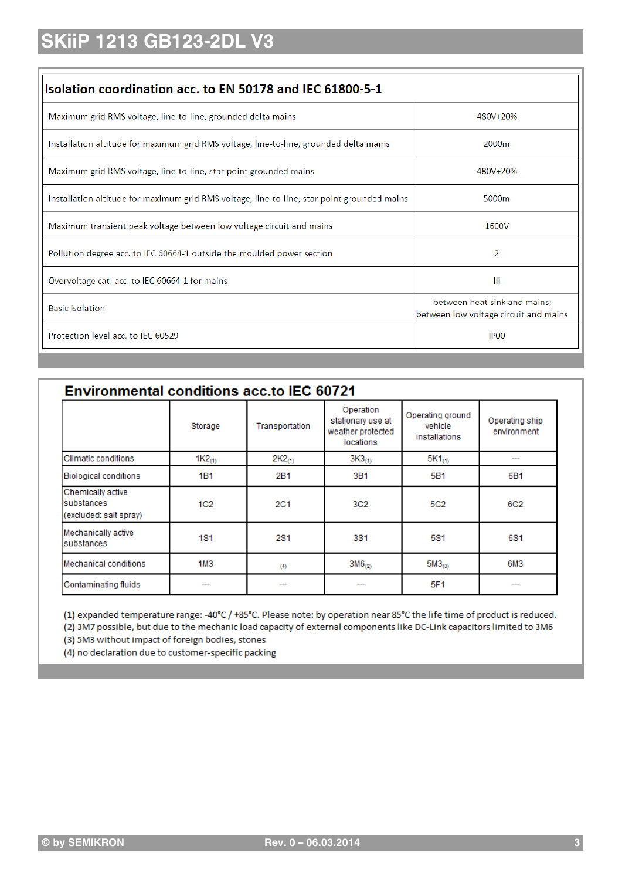| Isolation coordination acc. to EN 50178 and IEC 61800-5-1                                   |                                                                       |
|---------------------------------------------------------------------------------------------|-----------------------------------------------------------------------|
| Maximum grid RMS voltage, line-to-line, grounded delta mains                                | 480V+20%                                                              |
| Installation altitude for maximum grid RMS voltage, line-to-line, grounded delta mains      | 2000m                                                                 |
| Maximum grid RMS voltage, line-to-line, star point grounded mains                           | 480V+20%                                                              |
| Installation altitude for maximum grid RMS voltage, line-to-line, star point grounded mains | 5000 <sub>m</sub>                                                     |
| Maximum transient peak voltage between low voltage circuit and mains                        | 1600V                                                                 |
| Pollution degree acc. to IEC 60664-1 outside the moulded power section                      | 2                                                                     |
| Overvoltage cat. acc. to IEC 60664-1 for mains                                              | Ш                                                                     |
| <b>Basic isolation</b>                                                                      | between heat sink and mains;<br>between low voltage circuit and mains |
| Protection level acc. to IEC 60529                                                          | IP <sub>00</sub>                                                      |

| <b>Environmental conditions acc.to IEC 60721</b>          |                 |                |                                                                  |                                              |                               |  |
|-----------------------------------------------------------|-----------------|----------------|------------------------------------------------------------------|----------------------------------------------|-------------------------------|--|
|                                                           | Storage         | Transportation | Operation<br>stationary use at<br>weather protected<br>locations | Operating ground<br>vehicle<br>installations | Operating ship<br>environment |  |
| Climatic conditions                                       | $1K2_{(1)}$     | $2K2_{(1)}$    | $3K3_{(1)}$                                                      | $5K1_{(1)}$                                  |                               |  |
| <b>Biological conditions</b>                              | 1B1             | 2B1            | 3B1                                                              | 5B1                                          | 6B1                           |  |
| Chemically active<br>substances<br>(excluded: salt spray) | 1C <sub>2</sub> | 2C1            | 3C2                                                              | 5C <sub>2</sub>                              | 6C2                           |  |
| Mechanically active<br>substances                         | <b>1S1</b>      | 2S1            | 3S1                                                              | 5S1                                          | 6S1                           |  |
| Mechanical conditions                                     | 1M3             | (4)            | $3M6_{(2)}$                                                      | $5M3_{(3)}$                                  | 6M3                           |  |
| Contaminating fluids                                      |                 |                |                                                                  | 5F1                                          |                               |  |

(1) expanded temperature range: -40°C / +85°C. Please note: by operation near 85°C the life time of product is reduced.

(2) 3M7 possible, but due to the mechanic load capacity of external components like DC-Link capacitors limited to 3M6

(3) 5M3 without impact of foreign bodies, stones

(4) no declaration due to customer-specific packing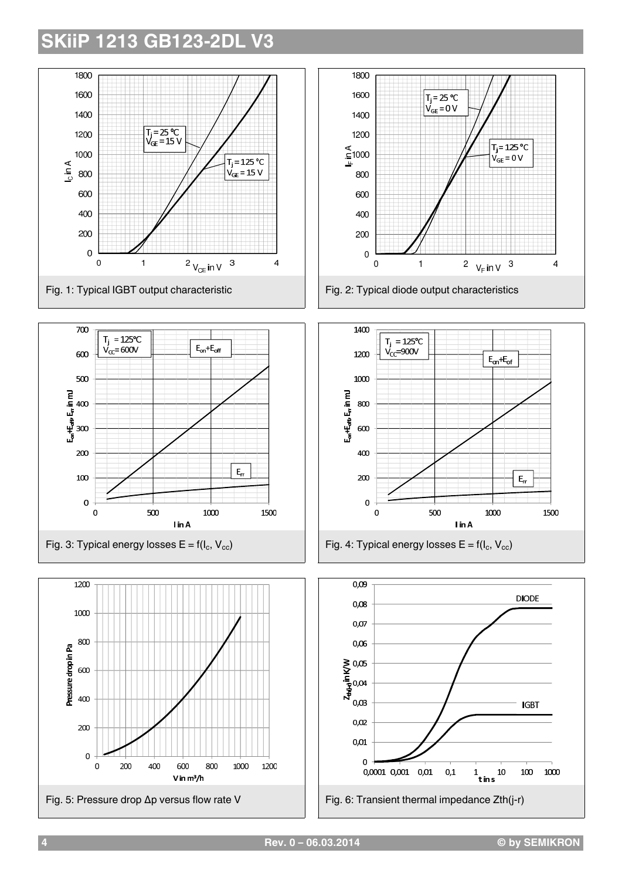











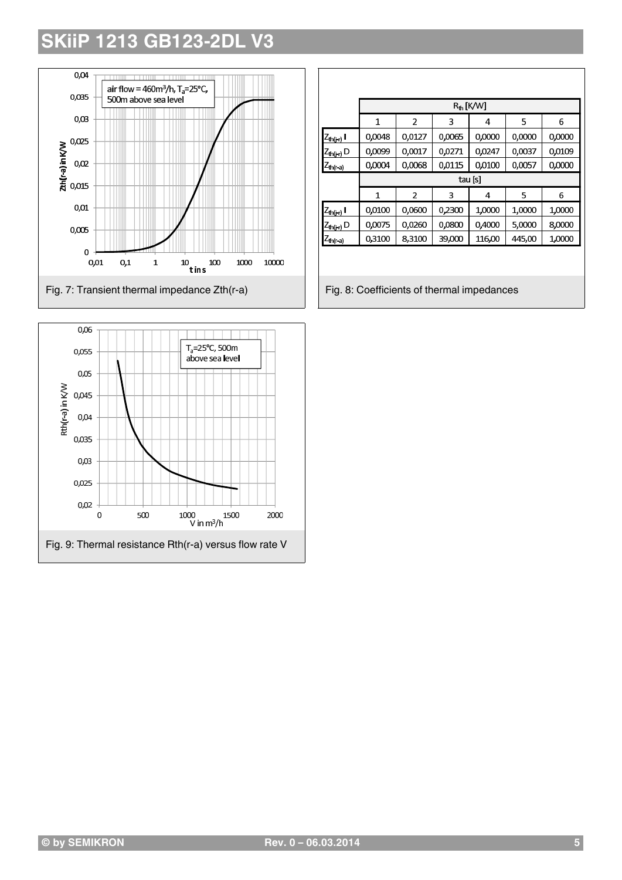

| 0,06                    |     |                                                        |      |
|-------------------------|-----|--------------------------------------------------------|------|
| 0,055                   |     | $T_a = 25^{\circ}C$ , 500m<br>above sea level          |      |
| 0,05                    |     |                                                        |      |
| 0,045                   |     |                                                        |      |
| Rth(r-a) in K/W<br>0,04 |     |                                                        |      |
| 0,035                   |     |                                                        |      |
| 0,03                    |     |                                                        |      |
| 0,025                   |     |                                                        |      |
| 0,02<br>0               | 500 | 1000<br>1500<br>V in $m^3/h$                           | 2000 |
|                         |     | Fig. 9: Thermal resistance Rth(r-a) versus flow rate V |      |

|                                          |         | $R_{th}$ [K/W] |        |        |        |        |  |
|------------------------------------------|---------|----------------|--------|--------|--------|--------|--|
|                                          | 1       | $\overline{2}$ | 3      | 4      | 5      | 6      |  |
| <sub>(</sub> Z <sub>th(j-r)</sub> l      | 0,0048  | 0,0127         | 0,0065 | 0,0000 | 0,0000 | 0,0000 |  |
| $Z_{th(j-r)} D$                          | 0,0099  | 0,0017         | 0,0271 | 0,0247 | 0,0037 | 0,0109 |  |
| $\mathcal{L}_{\text{th}(r-a)}$           | 0,0004  | 0,0068         | 0,0115 | 0,0100 | 0,0057 | 0,0000 |  |
|                                          | tau [s] |                |        |        |        |        |  |
|                                          | 1       | 2              | 3      | 4      | 5      | 6      |  |
| <u> Z<sub>th(i-r)</sub> I</u>            | 0,0100  | 0,0600         | 0,2300 | 1,0000 | 1,0000 | 1,0000 |  |
| $\frac{\mathcal{L}_{\text{th}(j-r)}}{D}$ | 0,0075  | 0,0260         | 0,0800 | 0,4000 | 5,0000 | 8,0000 |  |
| $\mathcal{L}_{\mathsf{th}(r\text{-a})}$  | 0,3100  | 8,3100         | 39,000 | 116,00 | 445,00 | 1,0000 |  |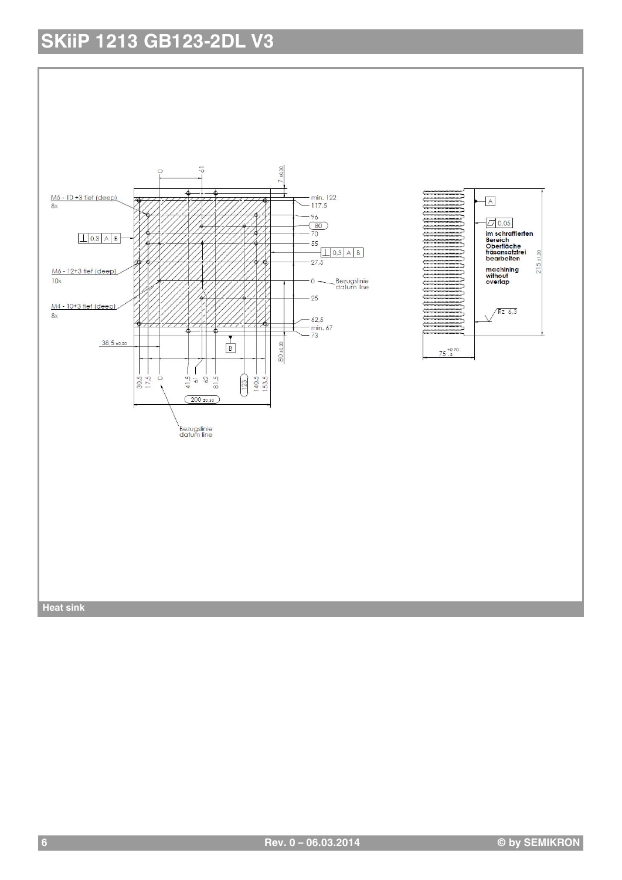